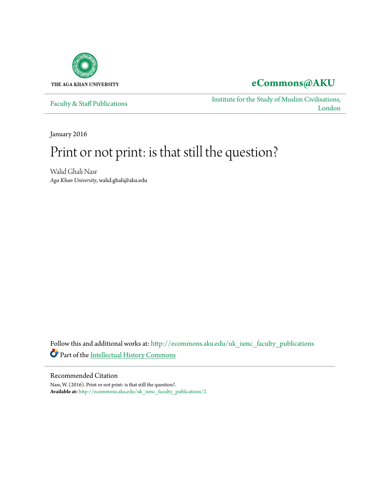

# **[eCommons@AKU](http://ecommons.aku.edu?utm_source=ecommons.aku.edu%2Fuk_ismc_faculty_publications%2F2&utm_medium=PDF&utm_campaign=PDFCoverPages)**

[Faculty & Staff Publications](http://ecommons.aku.edu/uk_ismc_faculty_publications?utm_source=ecommons.aku.edu%2Fuk_ismc_faculty_publications%2F2&utm_medium=PDF&utm_campaign=PDFCoverPages)

[Institute for the Study of Muslim Civilisations,](http://ecommons.aku.edu/uk_ismc?utm_source=ecommons.aku.edu%2Fuk_ismc_faculty_publications%2F2&utm_medium=PDF&utm_campaign=PDFCoverPages) [London](http://ecommons.aku.edu/uk_ismc?utm_source=ecommons.aku.edu%2Fuk_ismc_faculty_publications%2F2&utm_medium=PDF&utm_campaign=PDFCoverPages)

January 2016

# Print or not print: is that still the question?

Walid Ghali Nasr *Aga Khan University*, walid.ghali@aku.edu

Follow this and additional works at: [http://ecommons.aku.edu/uk\\_ismc\\_faculty\\_publications](http://ecommons.aku.edu/uk_ismc_faculty_publications?utm_source=ecommons.aku.edu%2Fuk_ismc_faculty_publications%2F2&utm_medium=PDF&utm_campaign=PDFCoverPages) Part of the [Intellectual History Commons](http://network.bepress.com/hgg/discipline/501?utm_source=ecommons.aku.edu%2Fuk_ismc_faculty_publications%2F2&utm_medium=PDF&utm_campaign=PDFCoverPages)

#### Recommended Citation

Nasr, W. (2016). Print or not print: is that still the question?. **Available at:** [http://ecommons.aku.edu/uk\\_ismc\\_faculty\\_publications/2](http://ecommons.aku.edu/uk_ismc_faculty_publications/2)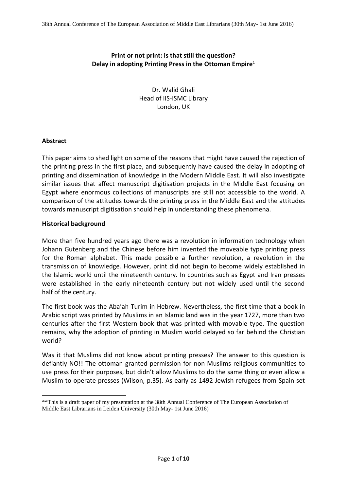# **Print or not print: is that still the question? Delay in adopting Printing Press in the Ottoman Empire**<sup>1</sup>

Dr. Walid Ghali Head of IIS-ISMC Library London, UK

### **Abstract**

This paper aims to shed light on some of the reasons that might have caused the rejection of the printing press in the first place, and subsequently have caused the delay in adopting of printing and dissemination of knowledge in the Modern Middle East. It will also investigate similar issues that affect manuscript digitisation projects in the Middle East focusing on Egypt where enormous collections of manuscripts are still not accessible to the world. A comparison of the attitudes towards the printing press in the Middle East and the attitudes towards manuscript digitisation should help in understanding these phenomena.

#### **Historical background**

More than five hundred years ago there was a revolution in information technology when Johann Gutenberg and the Chinese before him invented the moveable type printing press for the Roman alphabet. This made possible a further revolution, a revolution in the transmission of knowledge*.* However, print did not begin to become widely established in the Islamic world until the nineteenth century*.* In countries such as Egypt and Iran presses were established in the early nineteenth century but not widely used until the second half of the century.

The first book was the Aba'ah Turim in Hebrew. Nevertheless, the first time that a book in Arabic script was printed by Muslims in an Islamic land was in the year 1727, more than two centuries after the first Western book that was printed with movable type. The question remains, why the adoption of printing in Muslim world delayed so far behind the Christian world?

Was it that Muslims did not know about printing presses? The answer to this question is defiantly NO!! The ottoman granted permission for non-Muslims religious communities to use press for their purposes, but didn't allow Muslims to do the same thing or even allow a Muslim to operate presses (Wilson, p.35). As early as 1492 Jewish refugees from Spain set

 $\overline{a}$ \*\*This is a draft paper of my presentation at the 38th Annual Conference of The European Association of Middle East Librarians in Leiden University (30th May- 1st June 2016)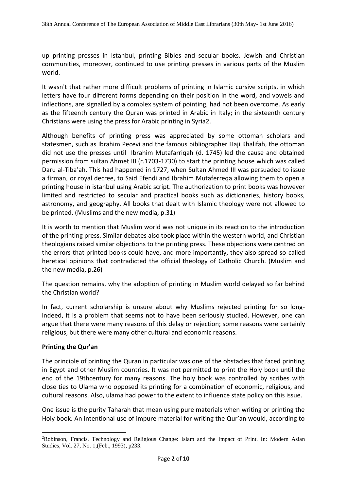up printing presses in Istanbul, printing Bibles and secular books. Jewish and Christian communities, moreover, continued to use printing presses in various parts of the Muslim world.

It wasn't that rather more difficult problems of printing in Islamic cursive scripts, in which letters have four different forms depending on their position in the word, and vowels and inflections, are signalled by a complex system of pointing, had not been overcome. As early as the fifteenth century the Quran was printed in Arabic in Italy; in the sixteenth century Christians were using the press for Arabic printing in Syria2.

Although benefits of printing press was appreciated by some ottoman scholars and statesmen, such as Ibrahim Pecevi and the famous bibliographer Haji Khalifah, the ottoman did not use the presses until Ibrahim Mutafarriqah (d. 1745) led the cause and obtained permission from sultan Ahmet III (r.1703-1730) to start the printing house which was called Daru al-Tiba'ah. This had happened in 1727, when Sultan Ahmed III was persuaded to issue a firman, or royal decree, to Said Efendi and Ibrahim Mutaferreqa allowing them to open a printing house in istanbul using Arabic script. The authorization to print books was however limited and restricted to secular and practical books such as dictionaries, history books, astronomy, and geography. All books that dealt with Islamic theology were not allowed to be printed. (Muslims and the new media, p.31)

It is worth to mention that Muslim world was not unique in its reaction to the introduction of the printing press. Similar debates also took place within the western world, and Christian theologians raised similar objections to the printing press. These objections were centred on the errors that printed books could have, and more importantly, they also spread so-called heretical opinions that contradicted the official theology of Catholic Church. (Muslim and the new media, p.26)

The question remains, why the adoption of printing in Muslim world delayed so far behind the Christian world?

In fact, current scholarship is unsure about why Muslims rejected printing for so longindeed, it is a problem that seems not to have been seriously studied. However, one can argue that there were many reasons of this delay or rejection; some reasons were certainly religious, but there were many other cultural and economic reasons.

# **Printing the Qur'an**

1

The principle of printing the Quran in particular was one of the obstacles that faced printing in Egypt and other Muslim countries. It was not permitted to print the Holy book until the end of the 19thcentury for many reasons. The holy book was controlled by scribes with close ties to Ulama who opposed its printing for a combination of economic, religious, and cultural reasons. Also, ulama had power to the extent to influence state policy on this issue.

One issue is the purity Taharah that mean using pure materials when writing or printing the Holy book. An intentional use of impure material for writing the Qur'an would, according to

<sup>2</sup>Robinson, Francis. Technology and Religious Change: Islam and the Impact of Print. In: Modern Asian Studies, Vol. 27, No. 1,(Feb., 1993), p233.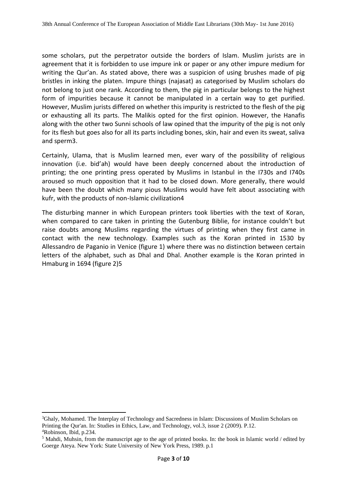some scholars, put the perpetrator outside the borders of Islam. Muslim jurists are in agreement that it is forbidden to use impure ink or paper or any other impure medium for writing the Qur'an. As stated above, there was a suspicion of using brushes made of pig bristles in inking the platen. Impure things (najasat) as categorised by Muslim scholars do not belong to just one rank. According to them, the pig in particular belongs to the highest form of impurities because it cannot be manipulated in a certain way to get purified. However, Muslim jurists differed on whether this impurity is restricted to the flesh of the pig or exhausting all its parts. The Malikis opted for the first opinion. However, the Hanafis along with the other two Sunni schools of law opined that the impurity of the pig is not only for its flesh but goes also for all its parts including bones, skin, hair and even its sweat, saliva and sperm3.

Certainly, Ulama, that is Muslim learned men, ever wary of the possibility of religious innovation (i.e. bid'ah) would have been deeply concerned about the introduction of printing; the one printing press operated by Muslims in Istanbul in the I730s and I740s aroused so much opposition that it had to be closed down. More generally, there would have been the doubt which many pious Muslims would have felt about associating with kufr, with the products of non-Islamic civilization4

The disturbing manner in which European printers took liberties with the text of Koran, when compared to care taken in printing the Gutenburg Biblie, for instance couldn't but raise doubts among Muslims regarding the virtues of printing when they first came in contact with the new technology. Examples such as the Koran printed in 1530 by Allessandro de Paganio in Venice (figure 1) where there was no distinction between certain letters of the alphabet, such as Dhal and Dhal. Another example is the Koran printed in Hmaburg in 1694 (figure 2)5

1

<sup>3</sup>Ghaly, Mohamed. The Interplay of Technology and Sacredness in Islam: Discussions of Muslim Scholars on Printing the Qur'an. In: Studies in Ethics, Law, and Technology, vol.3, issue 2 (2009). P.12. <sup>4</sup>Robinson, Ibid, p.234.

<sup>5</sup> Mahdi, Muhsin, from the manuscript age to the age of printed books. In: the book in Islamic world / edited by Goerge Ateya. New York: State University of New York Press, 1989. p.1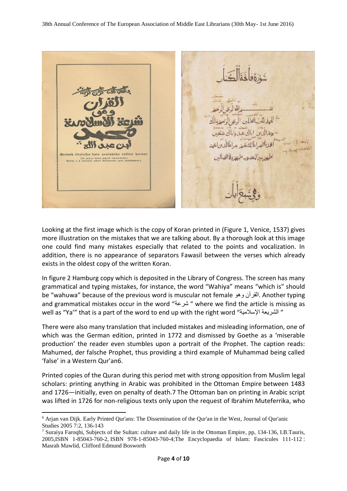

Looking at the first image which is the copy of Koran printed in (Figure 1, Venice, 1537) gives more illustration on the mistakes that we are talking about. By a thorough look at this image one could find many mistakes especially that related to the points and vocalization. In addition, there is no appearance of separators Fawasil between the verses which already exists in the oldest copy of the written Koran.

In figure 2 Hamburg copy which is deposited in the Library of Congress. The screen has many grammatical and typing mistakes, for instance, the word "Wahiya" means "which is" should be "wahuwa" because of the previous word is muscular not female وهو القرآن. Another typing and grammatical mistakes occur in the word "شرعة " where we find the article is missing as well as "Ya'" that is a part of the word to end up with the right word "اإلسالمية الشريعة "

There were also many translation that included mistakes and misleading information, one of which was the German edition, printed in 1772 and dismissed by Goethe as a 'miserable production' the reader even stumbles upon a portrait of the Prophet. The caption reads: Mahumed, der falsche Prophet, thus providing a third example of Muhammad being called 'false' in a Western Qur'an6.

Printed copies of the Quran during this period met with strong opposition from [Muslim legal](https://en.m.wikipedia.org/wiki/Ulama)  [scholars:](https://en.m.wikipedia.org/wiki/Ulama) printing anything in Arabic was prohibited in the [Ottoman Empire](https://en.m.wikipedia.org/wiki/Ottoman_empire) between 1483 and 1726—initially, even on penalty of death.7 The Ottoman ban on printing in Arabic script was lifted in 1726 for non-religious texts only upon the request of [Ibrahim Muteferrika,](https://en.m.wikipedia.org/wiki/Ibrahim_Muteferrika) who

1

<sup>6</sup> Arjan van Dijk[. Early Printed Qur'ans: The Dissemination of the Qur'an in the West,](http://www.euppublishing.com/doi/abs/10.3366/jqs.2005.7.2.136) Journal of Qur'anic Studies 2005 7:2, 136-143

<sup>7</sup> Suraiya Faroqhi, [Subjects of the Sultan: culture and daily life in the Ottoman Empire,](https://books.google.com/books?id=cQ8ZLZh9WjwC&pg=PA95) pp, 134-136, I.B.Tauris, 200[5,ISBN 1-85043-760-2,](https://en.m.wikipedia.org/wiki/Special:BookSources/1850437602) [ISBN 978-1-85043-760-4;](https://en.m.wikipedia.org/wiki/Special:BookSources/9781850437604)[The Encyclopaedia of Islam: Fascicules 111-112](https://books.google.com/books?id=PvwUAAAAIAAJ&pg=PA803) : [Masrah Mawlid,](https://books.google.com/books?id=PvwUAAAAIAAJ&pg=PA803) Clifford Edmund Bosworth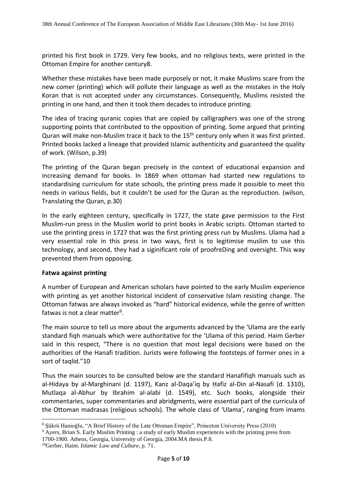printed his first book in 1729. Very few books, and no religious texts, were printed in the Ottoman Empire for another century8.

Whether these mistakes have been made purposely or not, it make Muslims scare from the new comer (printing) which will pollute their language as well as the mistakes in the Holy Koran that is not accepted under any circumstances. Consequently, Muslims resisted the printing in one hand, and then it took them decades to introduce printing.

The idea of tracing quranic copies that are copied by calligraphers was one of the strong supporting points that contributed to the opposition of printing. Some argued that printing Quran will make non-Muslim trace it back to the 15<sup>th</sup> century only when it was first printed. Printed books lacked a lineage that provided Islamic authenticity and guaranteed the quality of work. (Wilson, p.39)

The printing of the Quran began precisely in the context of educational expansion and increasing demand for books. In 1869 when ottoman had started new regulations to standardising curriculum for state schools, the printing press made it possible to meet this needs in various fields, but it couldn't be used for the Quran as the reproduction. (wilson, Translating the Quran, p.30)

In the early eighteen century, specifically in 1727, the state gave permission to the First Muslim-run press in the Muslim world to print books in Arabic scripts. Ottoman started to use the printing press in 1727 that was the first printing press run by Muslims. Ulama had a very essential role in this press in two ways, first is to legitimise muslim to use this technology, and second, they had a siginificant role of proofreDing and oversight. This way prevented them from opposing.

#### **Fatwa against printing**

**.** 

A number of European and American scholars have pointed to the early Muslim experience with printing as yet another historical incident of conservative Islam resisting change. The Ottoman fatwas are always invoked as "hard" historical evidence, while the genre of written fatwas is not a clear matter<sup>9</sup>.

The main source to tell us more about the arguments advanced by the 'Ulama are the early standard fiqh manuals which were authoritative for the 'Ulama of this period. Haim Gerber said in this respect, "There is no question that most legal decisions were based on the authorities of the Hanafi tradition. Jurists were following the footsteps of former ones in a sort of taglid."10

Thus the main sources to be consulted below are the standard Hanafifiqh manuals such as al-Hidaya by al-Marghinani (d. 1197), Kanz al-Daqa'iq by Ḥafiz al-Din al-Nasafi (d. 1310), Mutlaqa al-Abhur by Ibrahim al-alabi (d. 1549), etc. Such books, alongside their commentaries, super commentaries and abridgments, were essential part of the curricula of the Ottoman madrasas (religious schools). The whole class of 'Ulama', ranging from imams

<sup>8</sup> Şükrü Hanioğlu, "A Brief History of the Late Ottoman Empire", Princeton University Press (2010)

<sup>9</sup> Ayers, Brian S. Early Muslim Printing : a study of early Muslim experiences with the printing press from

<sup>1700-1900.</sup> Athens, Georgia, University of Georgia, 2004.MA thesis.P.8.

<sup>10</sup>Gerber, Haim. *Islamic Law and Culture*, p. 71.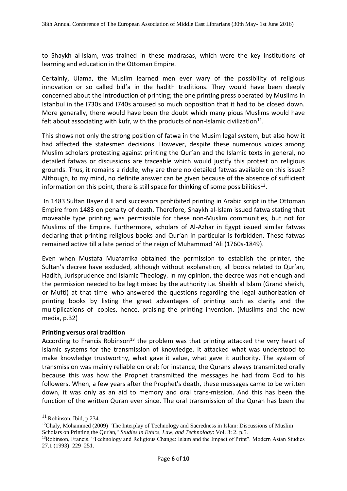to Shaykh al-Islam, was trained in these madrasas, which were the key institutions of learning and education in the Ottoman Empire.

Certainly, Ulama, the Muslim learned men ever wary of the possibility of religious innovation or so called bid'a in the hadith traditions. They would have been deeply concerned about the introduction of printing; the one printing press operated by Muslims in Istanbul in the I730s and I740s aroused so much opposition that it had to be closed down. More generally, there would have been the doubt which many pious Muslims would have felt about associating with kufr, with the products of non-Islamic civilization<sup>11</sup>.

This shows not only the strong position of fatwa in the Musim legal system, but also how it had affected the statesmen decisions. However, despite these numerous voices among Muslim scholars protesting against printing the Qur'an and the Islamic texts in general, no detailed fatwas or discussions are traceable which would justify this protest on religious grounds. Thus, it remains a riddle; why are there no detailed fatwas available on this issue? Although, to my mind, no definite answer can be given because of the absence of sufficient information on this point, there is still space for thinking of some possibilities<sup>12</sup>.

In 1483 [Sultan Bayezid II](https://en.wikipedia.org/wiki/Sultan_Bayezid_II) and successors prohibited printing in [Arabic script](https://en.wikipedia.org/wiki/Arabic_script) in the [Ottoman](https://en.wikipedia.org/wiki/Ottoman_empire)  [Empire](https://en.wikipedia.org/wiki/Ottoman_empire) from 1483 on penalty of death. Therefore, Shaykh al-Islam issued fatwa stating that moveable type printing was permissible for these non-Muslim communities, but not for Muslims of the Empire. Furthermore, scholars of Al-Azhar in Egypt issued similar fatwas declaring that printing religious books and Qur'an in particular is forbidden. These fatwas remained active till a late period of the reign of Muhammad 'Ali (1760s-1849).

Even when Mustafa Muafarrika obtained the permission to establish the printer, the Sultan's decree have excluded, although without explanation, all books related to Qur'an, Hadith, Jurisprudence and Islamic Theology. In my opinion, the decree was not enough and the permission needed to be legitimised by the authority i.e. Sheikh al Islam (Grand sheikh, or Mufti) at that time who answered the questions regarding the legal authorization of printing books by listing the great advantages of printing such as clarity and the multiplications of copies, hence, praising the printing invention. (Muslims and the new media, p.32)

#### **Printing versus oral tradition**

According to Francis Robinson<sup>13</sup> the problem was that printing attacked the very heart of Islamic systems for the transmission of knowledge. It attacked what was understood to make knowledge trustworthy, what gave it value, what gave it authority. The system of transmission was mainly reliable on oral; for instance, the Qurans always transmitted orally because this was how the Prophet transmitted the messages he had from God to his followers. When, a few years after the Prophet's death, these messages came to be written down, it was only as an aid to memory and oral trans-mission. And this has been the function of the written Quran ever since. The oral transmission of the Quran has been the

1

 $11$  Robinson, Ibid, p.234.

<sup>12</sup>Ghaly, Mohammed (2009) "The Interplay of Technology and Sacredness in Islam: Discussions of Muslim Scholars on Printing the Qur'an," *Studies in Ethics, Law, and Technology*: Vol. 3: 2. p.5.

<sup>13</sup>Robinson, Francis. "Technology and Religious Change: Islam and the Impact of Print". Modern Asian Studies 27.1 (1993): 229–251.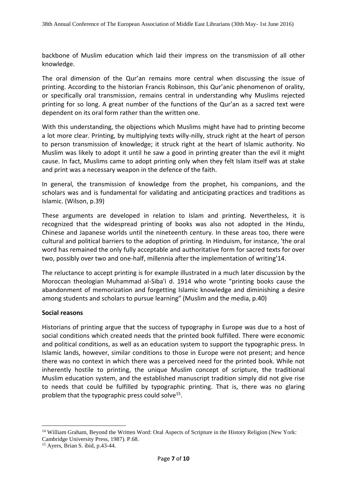backbone of Muslim education which laid their impress on the transmission of all other knowledge.

The oral dimension of the Qur'an remains more central when discussing the issue of printing. According to the historian Francis Robinson, this Qur'anic phenomenon of orality, or specifically oral transmission, remains central in understanding why Muslims rejected printing for so long. A great number of the functions of the Qur'an as a sacred text were dependent on its oral form rather than the written one.

With this understanding, the objections which Muslims might have had to printing become a lot more clear. Printing, by multiplying texts willy-nilly, struck right at the heart of person to person transmission of knowledge; it struck right at the heart of Islamic authority. No Muslim was likely to adopt it until he saw a good in printing greater than the evil it might cause. In fact, Muslims came to adopt printing only when they felt Islam itself was at stake and print was a necessary weapon in the defence of the faith.

In general, the transmission of knowledge from the prophet, his companions, and the scholars was and is fundamental for validating and anticipating practices and traditions as Islamic. (Wilson, p.39)

These arguments are developed in relation to Islam and printing. Nevertheless, it is recognized that the widespread printing of books was also not adopted in the Hindu, Chinese and Japanese worlds until the nineteenth century. In these areas too, there were cultural and political barriers to the adoption of printing. In Hinduism, for instance, 'the oral word has remained the only fully acceptable and authoritative form for sacred texts for over two, possibly over two and one-half, millennia after the implementation of writing'14.

The reluctance to accept printing is for example illustrated in a much later discussion by the Moroccan theologian Muhammad al-Siba'i d. 1914 who wrote "printing books cause the abandonment of memorization and forgetting Islamic knowledge and diminishing a desire among students and scholars to pursue learning" (Muslim and the media, p.40)

#### **Social reasons**

Historians of printing argue that the success of typography in Europe was due to a host of social conditions which created needs that the printed book fulfilled. There were economic and political conditions, as well as an education system to support the typographic press. In Islamic lands, however, similar conditions to those in Europe were not present; and hence there was no context in which there was a perceived need for the printed book. While not inherently hostile to printing, the unique Muslim concept of scripture, the traditional Muslim education system, and the established manuscript tradition simply did not give rise to needs that could be fulfilled by typographic printing. That is, there was no glaring problem that the typographic press could solve<sup>15</sup>.

 $\overline{a}$ 

<sup>14</sup> William Graham, Beyond the Written Word: Oral Aspects of Scripture in the History Religion (New York: Cambridge University Press, 1987). P.68.

<sup>15</sup> Ayers, Brian S. ibid, p.43-44.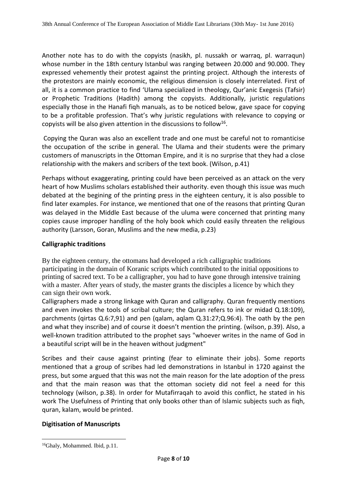Another note has to do with the copyists (nasikh, pl. nussakh or warraq, pl. warraqun) whose number in the 18th century Istanbul was ranging between 20.000 and 90.000. They expressed vehemently their protest against the printing project. Although the interests of the protestors are mainly economic, the religious dimension is closely interrelated. First of all, it is a common practice to find 'Ulama specialized in theology, Qur'anic Exegesis (Tafsir) or Prophetic Traditions (Hadith) among the copyists. Additionally, juristic regulations especially those in the Hanafi fiqh manuals, as to be noticed below, gave space for copying to be a profitable profession. That's why juristic regulations with relevance to copying or copyists will be also given attention in the discussions to follow<sup>16</sup>.

Copying the Quran was also an excellent trade and one must be careful not to romanticise the occupation of the scribe in general. The Ulama and their students were the primary customers of manuscripts in the Ottoman Empire, and it is no surprise that they had a close relationship with the makers and scribers of the text book. (Wilson, p.41)

Perhaps without exaggerating, printing could have been perceived as an attack on the very heart of how Muslims scholars established their authority. even though this issue was much debated at the begining of the printing press in the eighteen century, it is also possible to find later examples. For instance, we mentioned that one of the reasons that printing Quran was delayed in the Middle East because of the uluma were concerned that printing many copies cause improper handling of the holy book which could easily threaten the religious authority (Larsson, Goran, Muslims and the new media, p.23)

# **Calligraphic traditions**

By the eighteen century, the ottomans had developed a rich calligraphic traditions participating in the domain of Koranic scripts which contributed to the initial oppositions to printing of sacred text. To be a calligrapher, you had to have gone through intensive training with a master. After years of study, the master grants the disciples a licence by which they can sign their own work.

Calligraphers made a strong linkage with Quran and calligraphy. Quran frequently mentions and even invokes the tools of scribal culture; the Quran refers to ink or midad Q.18:109), parchments (qirtas Q.6:7,91) and pen (qalam, aqlam Q.31:27;Q.96:4). The oath by the pen and what they inscribe) and of course it doesn't mention the printing. (wilson, p.39). Also, a well-known tradition attributed to the prophet says "whoever writes in the name of God in a beautiful script will be in the heaven without judgment"

Scribes and their cause against printing (fear to eliminate their jobs). Some reports mentioned that a group of scribes had led demonstrations in Istanbul in 1720 against the press, but some argued that this was not the main reason for the late adoption of the press and that the main reason was that the ottoman society did not feel a need for this technology (wilson, p.38). In order for Mutafirraqah to avoid this conflict, he stated in his work The Usefulness of Printing that only books other than of Islamic subjects such as fiqh, quran, kalam, would be printed.

# **Digitisation of Manuscripts**

**<sup>.</sup>** <sup>16</sup>Ghaly, Mohammed. Ibid, p.11.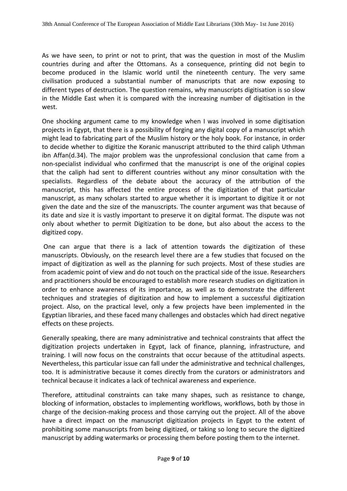As we have seen, to print or not to print, that was the question in most of the Muslim countries during and after the Ottomans. As a consequence, printing did not begin to become produced in the Islamic world until the nineteenth century. The very same civilisation produced a substantial number of manuscripts that are now exposing to different types of destruction. The question remains, why manuscripts digitisation is so slow in the Middle East when it is compared with the increasing number of digitisation in the west.

One shocking argument came to my knowledge when I was involved in some digitisation projects in Egypt, that there is a possibility of forging any digital copy of a manuscript which might lead to fabricating part of the Muslim history or the holy book. For instance, in order to decide whether to digitize the Koranic manuscript attributed to the third caliph Uthman ibn Affan(d.34). The major problem was the unprofessional conclusion that came from a non-specialist individual who confirmed that the manuscript is one of the original copies that the caliph had sent to different countries without any minor consultation with the specialists. Regardless of the debate about the accuracy of the attribution of the manuscript, this has affected the entire process of the digitization of that particular manuscript, as many scholars started to argue whether it is important to digitize it or not given the date and the size of the manuscripts. The counter argument was that because of its date and size it is vastly important to preserve it on digital format. The dispute was not only about whether to permit Digitization to be done, but also about the access to the digitized copy.

One can argue that there is a lack of attention towards the digitization of these manuscripts. Obviously, on the research level there are a few studies that focused on the impact of digitization as well as the planning for such projects. Most of these studies are from academic point of view and do not touch on the practical side of the issue. Researchers and practitioners should be encouraged to establish more research studies on digitization in order to enhance awareness of its importance, as well as to demonstrate the different techniques and strategies of digitization and how to implement a successful digitization project. Also, on the practical level, only a few projects have been implemented in the Egyptian libraries, and these faced many challenges and obstacles which had direct negative effects on these projects.

Generally speaking, there are many administrative and technical constraints that affect the digitization projects undertaken in Egypt, lack of finance, planning, infrastructure, and training. I will now focus on the constraints that occur because of the attitudinal aspects. Nevertheless, this particular issue can fall under the administrative and technical challenges, too. It is administrative because it comes directly from the curators or administrators and technical because it indicates a lack of technical awareness and experience.

Therefore, attitudinal constraints can take many shapes, such as resistance to change, blocking of information, obstacles to implementing workflows, workflows, both by those in charge of the decision-making process and those carrying out the project. All of the above have a direct impact on the manuscript digitization projects in Egypt to the extent of prohibiting some manuscripts from being digitized, or taking so long to secure the digitized manuscript by adding watermarks or processing them before posting them to the internet.